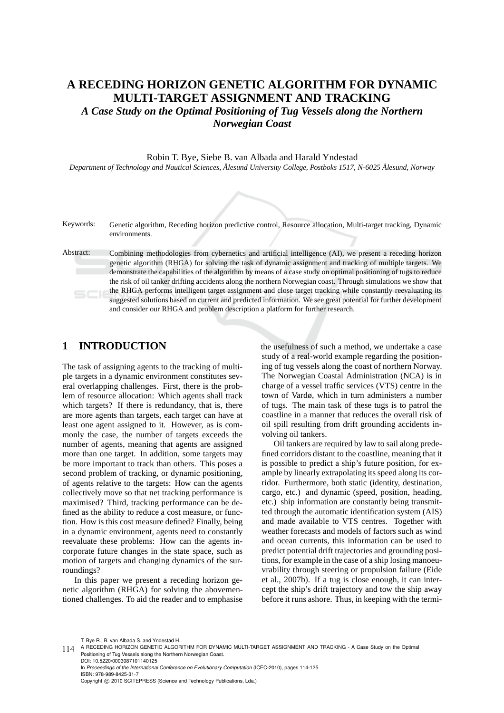## **A RECEDING HORIZON GENETIC ALGORITHM FOR DYNAMIC MULTI-TARGET ASSIGNMENT AND TRACKING**

*A Case Study on the Optimal Positioning of Tug Vessels along the Northern Norwegian Coast*

Robin T. Bye, Siebe B. van Albada and Harald Yndestad

*Department of Technology and Nautical Sciences, Ålesund University College, Postboks 1517, N-6025 Ålesund, Norway*

Keywords: Genetic algorithm, Receding horizon predictive control, Resource allocation, Multi-target tracking, Dynamic environments.

Abstract: Combining methodologies from cybernetics and artificial intelligence (AI), we present a receding horizon genetic algorithm (RHGA) for solving the task of dynamic assignment and tracking of multiple targets. We demonstrate the capabilities of the algorithm by means of a case study on optimal positioning of tugs to reduce the risk of oil tanker drifting accidents along the northern Norwegian coast. Through simulations we show that the RHGA performs intelligent target assignment and close target tracking while constantly reevaluating its  $5C$ suggested solutions based on current and predicted information. We see great potential for further development and consider our RHGA and problem description a platform for further research.

## **1 INTRODUCTION**

The task of assigning agents to the tracking of multiple targets in a dynamic environment constitutes several overlapping challenges. First, there is the problem of resource allocation: Which agents shall track which targets? If there is redundancy, that is, there are more agents than targets, each target can have at least one agent assigned to it. However, as is commonly the case, the number of targets exceeds the number of agents, meaning that agents are assigned more than one target. In addition, some targets may be more important to track than others. This poses a second problem of tracking, or dynamic positioning, of agents relative to the targets: How can the agents collectively move so that net tracking performance is maximised? Third, tracking performance can be defined as the ability to reduce a cost measure, or function. How is this cost measure defined? Finally, being in a dynamic environment, agents need to constantly reevaluate these problems: How can the agents incorporate future changes in the state space, such as motion of targets and changing dynamics of the surroundings?

In this paper we present a receding horizon genetic algorithm (RHGA) for solving the abovementioned challenges. To aid the reader and to emphasise the usefulness of such a method, we undertake a case study of a real-world example regarding the positioning of tug vessels along the coast of northern Norway. The Norwegian Coastal Administration (NCA) is in charge of a vessel traffic services (VTS) centre in the town of Vardø, which in turn administers a number of tugs. The main task of these tugs is to patrol the coastline in a manner that reduces the overall risk of oil spill resulting from drift grounding accidents involving oil tankers.

Oil tankers are required by law to sail along predefined corridors distant to the coastline, meaning that it is possible to predict a ship's future position, for example by linearly extrapolating its speed along its corridor. Furthermore, both static (identity, destination, cargo, etc.) and dynamic (speed, position, heading, etc.) ship information are constantly being transmitted through the automatic identification system (AIS) and made available to VTS centres. Together with weather forecasts and models of factors such as wind and ocean currents, this information can be used to predict potential drift trajectories and grounding positions, for example in the case of a ship losing manoeuvrability through steering or propulsion failure (Eide et al., 2007b). If a tug is close enough, it can intercept the ship's drift trajectory and tow the ship away before it runs ashore. Thus, in keeping with the termi-

T. Bye R., B. van Albada S. and Yndestad H..

In *Proceedings of the International Conference on Evolutionary Computation* (ICEC-2010), pages 114-125 ISBN: 978-989-8425-31-7 Copyright © 2010 SCITEPRESS (Science and Technology Publications, Lda.)

<sup>114</sup> A RECEDING HORIZON GENETIC ALGORITHM FOR DYNAMIC MULTI-TARGET ASSIGNMENT AND TRACKING - A Case Study on the Optimal<br>Positioning of Tug Vessels along the Northern Norwegian Coast. DOI: 10.5220/0003087101140125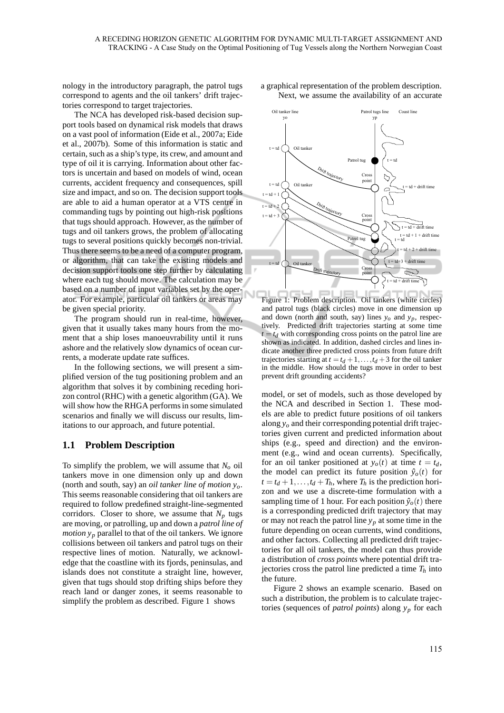nology in the introductory paragraph, the patrol tugs correspond to agents and the oil tankers' drift trajectories correspond to target trajectories.

The NCA has developed risk-based decision support tools based on dynamical risk models that draws on a vast pool of information (Eide et al., 2007a; Eide et al., 2007b). Some of this information is static and certain, such as a ship's type, its crew, and amount and type of oil it is carrying. Information about other factors is uncertain and based on models of wind, ocean currents, accident frequency and consequences, spill size and impact, and so on. The decision support tools are able to aid a human operator at a VTS centre in commanding tugs by pointing out high-risk positions that tugs should approach. However, as the number of tugs and oil tankers grows, the problem of allocating tugs to several positions quickly becomes non-trivial. Thus there seems to be a need of a computer program, or algorithm, that can take the existing models and decision support tools one step further by calculating where each tug should move. The calculation may be based on a number of input variables set by the operator. For example, particular oil tankers or areas may be given special priority.

The program should run in real-time, however, given that it usually takes many hours from the moment that a ship loses manoeuvrability until it runs ashore and the relatively slow dynamics of ocean currents, a moderate update rate suffices.

In the following sections, we will present a simplified version of the tug positioning problem and an algorithm that solves it by combining receding horizon control (RHC) with a genetic algorithm (GA). We will show how the RHGA performs in some simulated scenarios and finally we will discuss our results, limitations to our approach, and future potential.

## **1.1 Problem Description**

To simplify the problem, we will assume that *N<sup>o</sup>* oil tankers move in one dimension only up and down (north and south, say) an *oil tanker line of motion yo*. This seems reasonable considering that oil tankers are required to follow predefined straight-line-segmented corridors. Closer to shore, we assume that  $N_p$  tugs are moving, or patrolling, up and down a *patrol line of motion*  $y_p$  parallel to that of the oil tankers. We ignore collisions between oil tankers and patrol tugs on their respective lines of motion. Naturally, we acknowledge that the coastline with its fjords, peninsulas, and islands does not constitute a straight line, however, given that tugs should stop drifting ships before they reach land or danger zones, it seems reasonable to simplify the problem as described. Figure 1 shows

a graphical representation of the problem description. Next, we assume the availability of an accurate



Figure 1: Problem description. Oil tankers (white circles) and patrol tugs (black circles) move in one dimension up and down (north and south, say) lines  $y_o$  and  $y_p$ , respectively. Predicted drift trajectories starting at some time  $t = t_d$  with corresponding cross points on the patrol line are shown as indicated. In addition, dashed circles and lines indicate another three predicted cross points from future drift trajectories starting at  $t = t_d + 1, \ldots, t_d + 3$  for the oil tanker in the middle. How should the tugs move in order to best prevent drift grounding accidents?

model, or set of models, such as those developed by the NCA and described in Section 1. These models are able to predict future positions of oil tankers along *y<sup>o</sup>* and their corresponding potential drift trajectories given current and predicted information about ships (e.g., speed and direction) and the environment (e.g., wind and ocean currents). Specifically, for an oil tanker positioned at  $y_o(t)$  at time  $t = t_d$ , the model can predict its future position  $\hat{y}_o(t)$  for  $t = t_d + 1, \ldots, t_d + T_h$ , where  $T_h$  is the prediction horizon and we use a discrete-time formulation with a sampling time of 1 hour. For each position  $\hat{y}_o(t)$  there is a corresponding predicted drift trajectory that may or may not reach the patrol line  $y_p$  at some time in the future depending on ocean currents, wind conditions, and other factors. Collecting all predicted drift trajectories for all oil tankers, the model can thus provide a distribution of *cross points* where potential drift trajectories cross the patrol line predicted a time  $T_h$  into the future.

Figure 2 shows an example scenario. Based on such a distribution, the problem is to calculate trajectories (sequences of *patrol points*) along *y<sup>p</sup>* for each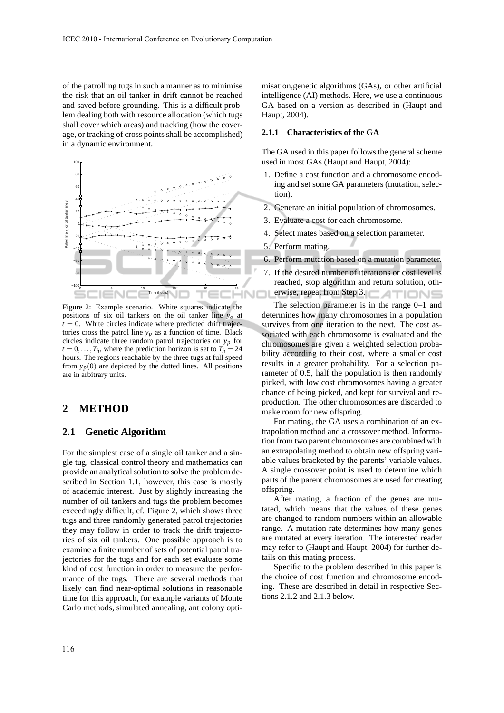of the patrolling tugs in such a manner as to minimise the risk that an oil tanker in drift cannot be reached and saved before grounding. This is a difficult problem dealing both with resource allocation (which tugs shall cover which areas) and tracking (how the coverage, or tracking of cross points shall be accomplished) in a dynamic environment.



Figure 2: Example scenario. White squares indicate the positions of six oil tankers on the oil tanker line  $y<sub>o</sub>$  at  $t = 0$ . White circles indicate where predicted drift trajectories cross the patrol line  $y_p$  as a function of time. Black circles indicate three random patrol trajectories on *yp* for  $t = 0, \ldots, T_h$ , where the prediction horizon is set to  $T_h = 24$ hours. The regions reachable by the three tugs at full speed from  $y_p(0)$  are depicted by the dotted lines. All positions are in arbitrary units.

## **2 METHOD**

#### **2.1 Genetic Algorithm**

For the simplest case of a single oil tanker and a single tug, classical control theory and mathematics can provide an analytical solution to solve the problem described in Section 1.1, however, this case is mostly of academic interest. Just by slightly increasing the number of oil tankers and tugs the problem becomes exceedingly difficult, cf. Figure 2, which shows three tugs and three randomly generated patrol trajectories they may follow in order to track the drift trajectories of six oil tankers. One possible approach is to examine a finite number of sets of potential patrol trajectories for the tugs and for each set evaluate some kind of cost function in order to measure the performance of the tugs. There are several methods that likely can find near-optimal solutions in reasonable time for this approach, for example variants of Monte Carlo methods, simulated annealing, ant colony opti-

misation,genetic algorithms (GAs), or other artificial intelligence (AI) methods. Here, we use a continuous GA based on a version as described in (Haupt and Haupt, 2004).

#### **2.1.1 Characteristics of the GA**

The GA used in this paper follows the general scheme used in most GAs (Haupt and Haupt, 2004):

- 1. Define a cost function and a chromosome encoding and set some GA parameters (mutation, selection).
- 2. Generate an initial population of chromosomes.
- 3. Evaluate a cost for each chromosome.
- 4. Select mates based on a selection parameter.
- 5. Perform mating.
- 6. Perform mutation based on a mutation parameter.
- 7. If the desired number of iterations or cost level is reached, stop algorithm and return solution, otherwise, repeat from Step 3.1 **ALCONS**

The selection parameter is in the range 0–1 and determines how many chromosomes in a population survives from one iteration to the next. The cost associated with each chromosome is evaluated and the chromosomes are given a weighted selection probability according to their cost, where a smaller cost results in a greater probability. For a selection parameter of 0.5, half the population is then randomly picked, with low cost chromosomes having a greater chance of being picked, and kept for survival and reproduction. The other chromosomes are discarded to make room for new offspring.

For mating, the GA uses a combination of an extrapolation method and a crossover method. Information from two parent chromosomes are combined with an extrapolating method to obtain new offspring variable values bracketed by the parents' variable values. A single crossover point is used to determine which parts of the parent chromosomes are used for creating offspring.

After mating, a fraction of the genes are mutated, which means that the values of these genes are changed to random numbers within an allowable range. A mutation rate determines how many genes are mutated at every iteration. The interested reader may refer to (Haupt and Haupt, 2004) for further details on this mating process.

Specific to the problem described in this paper is the choice of cost function and chromosome encoding. These are described in detail in respective Sections 2.1.2 and 2.1.3 below.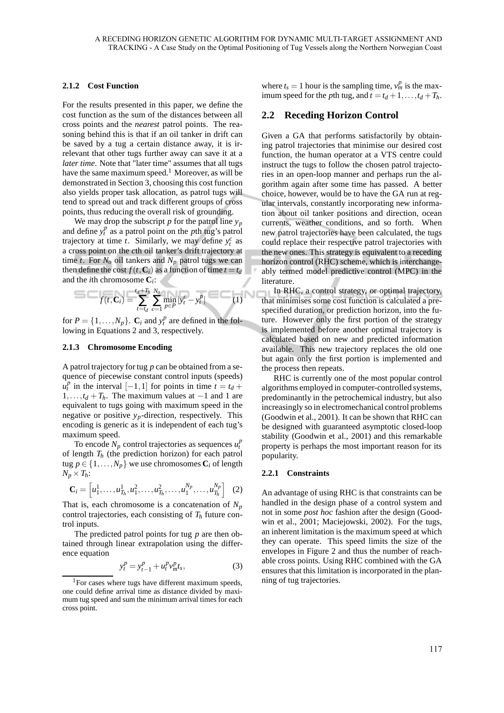#### **2.1.2 Cost Function**

For the results presented in this paper, we define the cost function as the sum of the distances between all cross points and the *nearest* patrol points. The reasoning behind this is that if an oil tanker in drift can be saved by a tug a certain distance away, it is irrelevant that other tugs further away can save it at a *later time*. Note that "later time" assumes that all tugs have the same maximum speed.<sup>1</sup> Moreover, as will be demonstrated in Section 3, choosing this cost function also yields proper task allocation, as patrol tugs will tend to spread out and track different groups of cross points, thus reducing the overall risk of grounding.

We may drop the subscript  $p$  for the patrol line  $y_p$ and define  $y_t^p$  as a patrol point on the *p*th tug's patrol trajectory at time *t*. Similarly, we may define  $y_t^c$  as a cross point on the *c*th oil tanker's drift trajectory at time *t*. For  $N<sub>o</sub>$  oil tankers and  $N<sub>p</sub>$  patrol tugs we can then define the cost  $f(t, C_i)$  as a function of time  $t = t_d$ and the *i*th chromosome **C***<sup>i</sup>* :

$$
= -f(t, C_i) = \sum_{t=t_d}^{t_d+T_h} \sum_{c=1}^{N_o} \min_{p \in P} |y_t^c - y_t^p| = (1)
$$

for  $P = \{1, ..., N_p\}$ .  $\mathbf{C}_i$  and  $y_i^p$  are defined in the following in Equations 2 and 3, respectively.

#### **2.1.3 Chromosome Encoding**

A patrol trajectory for tug *p* can be obtained from a sequence of piecewise constant control inputs (speeds)  $u_t^p$  in the interval [−1,1] for points in time  $t = t_d +$  $1, \ldots, t_d + T_h$ . The maximum values at  $-1$  and 1 are equivalent to tugs going with maximum speed in the negative or positive *yp*-direction, respectively. This encoding is generic as it is independent of each tug's maximum speed.

To encode  $N_p$  control trajectories as sequences  $u_t^p$ of length *T<sup>h</sup>* (the prediction horizon) for each patrol tug  $p \in \{1, \ldots, N_p\}$  we use chromosomes  $C_i$  of length  $N_p \times T_h$ :

$$
\mathbf{C}_i = \left[ u_1^1, \dots, u_{T_h}^1, u_1^2, \dots, u_{T_h}^2, \dots, u_1^{N_p}, \dots, u_{T_h}^{N_p} \right] \tag{2}
$$

That is, each chromosome is a concatenation of  $N_p$ control trajectories, each consisting of  $T_h$  future control inputs.

The predicted patrol points for tug *p* are then obtained through linear extrapolation using the difference equation

$$
y_t^p = y_{t-1}^p + u_t^p v_m^p t_s,
$$
 (3)

where  $t_s = 1$  hour is the sampling time,  $v_m^p$  is the maximum speed for the *p*th tug, and  $t = t_d + 1, \ldots, t_d + T_h$ .

#### **2.2 Receding Horizon Control**

Given a GA that performs satisfactorily by obtaining patrol trajectories that minimise our desired cost function, the human operator at a VTS centre could instruct the tugs to follow the chosen patrol trajectories in an open-loop manner and perhaps run the algorithm again after some time has passed. A better choice, however, would be to have the GA run at regular intervals, constantly incorporating new information about oil tanker positions and direction, ocean currents, weather conditions, and so forth. When new patrol trajectories have been calculated, the tugs could replace their respective patrol trajectories with the new ones. This strategy is equivalent to a receding horizon control (RHC) scheme, which is interchangeably termed model predictive control (MPC) in the literature.

In RHC, a control strategy, or optimal trajectory, that minimises some cost function is calculated a prespecified duration, or prediction horizon, into the future. However only the first portion of the strategy is implemented before another optimal trajectory is calculated based on new and predicted information available. This new trajectory replaces the old one but again only the first portion is implemented and the process then repeats.

RHC is currently one of the most popular control algorithms employed in computer-controlled systems, predominantly in the petrochemical industry, but also increasingly so in electromechanical control problems (Goodwin et al., 2001). It can be shown that RHC can be designed with guaranteed asymptotic closed-loop stability (Goodwin et al., 2001) and this remarkable property is perhaps the most important reason for its popularity.

#### **2.2.1 Constraints**

An advantage of using RHC is that constraints can be handled in the design phase of a control system and not in some *post hoc* fashion after the design (Goodwin et al., 2001; Maciejowski, 2002). For the tugs, an inherent limitation is the maximum speed at which they can operate. This speed limits the size of the envelopes in Figure 2 and thus the number of reachable cross points. Using RHC combined with the GA ensures that this limitation is incorporated in the planning of tug trajectories.

<sup>&</sup>lt;sup>1</sup>For cases where tugs have different maximum speeds, one could define arrival time as distance divided by maximum tug speed and sum the minimum arrival times for each cross point.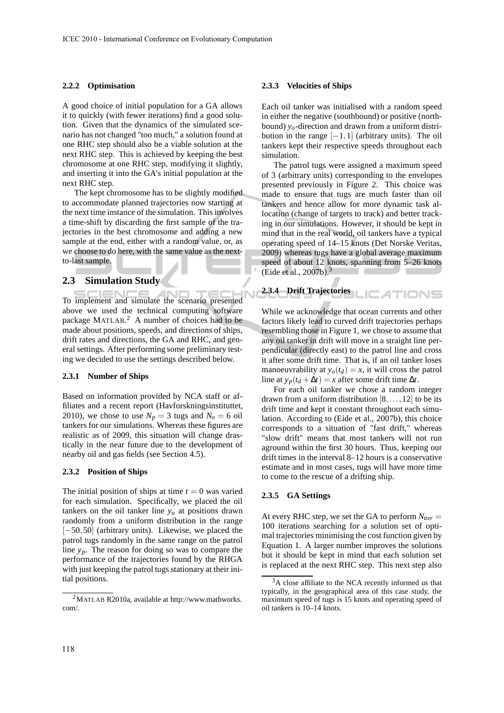#### **2.2.2 Optimisation**

A good choice of initial population for a GA allows it to quickly (with fewer iterations) find a good solution. Given that the dynamics of the simulated scenario has not changed "too much," a solution found at one RHC step should also be a viable solution at the next RHC step. This is achieved by keeping the best chromosome at one RHC step, modifying it slightly, and inserting it into the GA's initial population at the next RHC step.

The kept chromosome has to be slightly modified to accommodate planned trajectories now starting at the next time instance of the simulation. This involves a time-shift by discarding the first sample of the trajectories in the best chromosome and adding a new sample at the end, either with a random value, or, as we choose to do here, with the same value as the nextto-last sample.

#### **2.3 Simulation Study**

To implement and simulate the scenario presented above we used the technical computing software package MATLAB.<sup>2</sup> A number of choices had to be made about positions, speeds, and directions of ships, drift rates and directions, the GA and RHC, and general settings. After performing some preliminary testing we decided to use the settings described below.

#### **2.3.1 Number of Ships**

Based on information provided by NCA staff or affiliates and a recent report (Havforskningsinstituttet, 2010), we chose to use  $N_p = 3$  tugs and  $N_o = 6$  oil tankers for our simulations. Whereas these figures are realistic as of 2009, this situation will change drastically in the near future due to the development of nearby oil and gas fields (see Section 4.5).

#### **2.3.2 Position of Ships**

The initial position of ships at time  $t = 0$  was varied for each simulation. Specifically, we placed the oil tankers on the oil tanker line  $y<sub>o</sub>$  at positions drawn randomly from a uniform distribution in the range [−50,50] (arbitrary units). Likewise, we placed the patrol tugs randomly in the same range on the patrol line *yp*. The reason for doing so was to compare the performance of the trajectories found by the RHGA with just keeping the patrol tugs stationary at their initial positions.

#### **2.3.3 Velocities of Ships**

Each oil tanker was initialised with a random speed in either the negative (southbound) or positive (northbound) *yo*-direction and drawn from a uniform distribution in the range  $[-1,1]$  (arbitrary units). The oil tankers kept their respective speeds throughout each simulation.

The patrol tugs were assigned a maximum speed of 3 (arbitrary units) corresponding to the envelopes presented previously in Figure 2. This choice was made to ensure that tugs are much faster than oil tankers and hence allow for more dynamic task allocation (change of targets to track) and better tracking in our simulations. However, it should be kept in mind that in the real world, oil tankers have a typical operating speed of 14–15 knots (Det Norske Veritas, 2009) whereas tugs have a global average maximum speed of about 12 knots, spanning from 5–26 knots (Eide et al., 2007b).<sup>3</sup>

# **2.3.4 Drift Trajectories**

While we acknowledge that ocean currents and other factors likely lead to curved drift trajectories perhaps resembling those in Figure 1, we chose to assume that any oil tanker in drift will move in a straight line perpendicular (directly east) to the patrol line and cross it after some drift time. That is, if an oil tanker loses manoeuvrability at  $y_o(t_d) = x$ , it will cross the patrol line at  $y_p(t_d + \Delta t) = x$  after some drift time  $\Delta t$ .

For each oil tanker we chose a random integer drawn from a uniform distribution  $[8, \ldots, 12]$  to be its drift time and kept it constant throughout each simulation. According to (Eide et al., 2007b), this choice corresponds to a situation of "fast drift," whereas "slow drift" means that most tankers will not run aground within the first 30 hours. Thus, keeping our drift times in the interval 8–12 hours is a conservative estimate and in most cases, tugs will have more time to come to the rescue of a drifting ship.

#### **2.3.5 GA Settings**

At every RHC step, we set the GA to perform  $N_{iter} =$ 100 iterations searching for a solution set of optimal trajectories minimising the cost function given by Equation 1. A larger number improves the solutions but it should be kept in mind that each solution set is replaced at the next RHC step. This next step also

 $^{2}$ MATLAB R2010a, available at http://www.mathworks. com/.

 $3A$  close affiliate to the NCA recently informed us that typically, in the geographical area of this case study, the maximum speed of tugs is 15 knots and operating speed of oil tankers is 10–14 knots.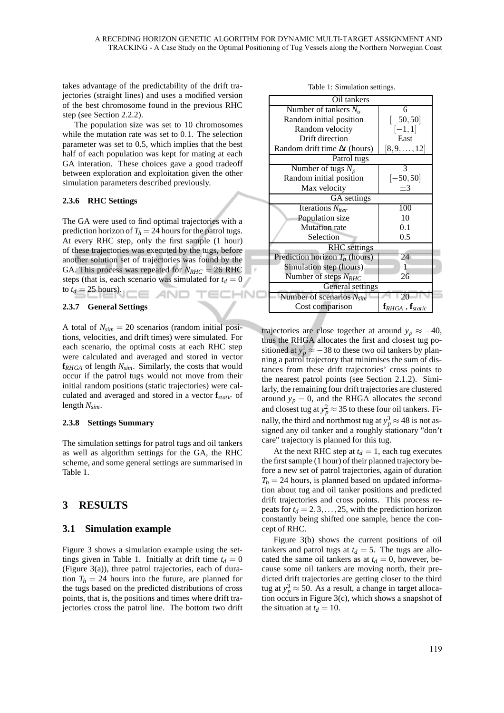takes advantage of the predictability of the drift trajectories (straight lines) and uses a modified version of the best chromosome found in the previous RHC step (see Section 2.2.2).

The population size was set to 10 chromosomes while the mutation rate was set to 0.1. The selection parameter was set to 0.5, which implies that the best half of each population was kept for mating at each GA interation. These choices gave a good tradeoff between exploration and exploitation given the other simulation parameters described previously.

#### **2.3.6 RHC Settings**

The GA were used to find optimal trajectories with a prediction horizon of  $T_h = 24$  hours for the patrol tugs. At every RHC step, only the first sample (1 hour) of these trajectories was executed by the tugs, before another solution set of trajectories was found by the GA. This process was repeated for  $N_{RHC} = 26$  RHC steps (that is, each scenario was simulated for  $t_d = 0$ to  $t_d = 25$  hours). AND TECHNO

#### **2.3.7 General Settings**

A total of  $N_{sim}$  = 20 scenarios (random initial positions, velocities, and drift times) were simulated. For each scenario, the optimal costs at each RHC step were calculated and averaged and stored in vector **f***RHGA* of length *Nsim*. Similarly, the costs that would occur if the patrol tugs would not move from their initial random positions (static trajectories) were calculated and averaged and stored in a vector **f***static* of length *Nsim*.

#### **2.3.8 Settings Summary**

The simulation settings for patrol tugs and oil tankers as well as algorithm settings for the GA, the RHC scheme, and some general settings are summarised in Table 1.

## **3 RESULTS**

#### **3.1 Simulation example**

Figure 3 shows a simulation example using the settings given in Table 1. Initially at drift time  $t_d = 0$ (Figure 3(a)), three patrol trajectories, each of duration  $T_h = 24$  hours into the future, are planned for the tugs based on the predicted distributions of cross points, that is, the positions and times where drift trajectories cross the patrol line. The bottom two drift

| Oil tankers                                   |  |  |  |  |  |
|-----------------------------------------------|--|--|--|--|--|
| 6                                             |  |  |  |  |  |
| $[-50, 50]$                                   |  |  |  |  |  |
| $[-1,1]$                                      |  |  |  |  |  |
| East                                          |  |  |  |  |  |
| $[8,9,\ldots,12]$                             |  |  |  |  |  |
| Patrol tugs                                   |  |  |  |  |  |
| 3                                             |  |  |  |  |  |
| $[-50, 50]$                                   |  |  |  |  |  |
| $+3$                                          |  |  |  |  |  |
| GA settings                                   |  |  |  |  |  |
| 100                                           |  |  |  |  |  |
| 10                                            |  |  |  |  |  |
| 0.1                                           |  |  |  |  |  |
| 0.5                                           |  |  |  |  |  |
| <b>RHC</b> settings                           |  |  |  |  |  |
| 24                                            |  |  |  |  |  |
| 1                                             |  |  |  |  |  |
| 26                                            |  |  |  |  |  |
| Number of steps $N_{RHC}$<br>General settings |  |  |  |  |  |
| 20                                            |  |  |  |  |  |
| $\mathbf{f}_{RHGA}$ , $\mathbf{f}_{static}$   |  |  |  |  |  |
|                                               |  |  |  |  |  |

Table 1: Simulation settings.

trajectories are close together at around  $y_p \approx -40$ , thus the RHGA allocates the first and closest tug positioned at  $y_p^1 \approx -38$  to these two oil tankers by planning a patrol trajectory that minimises the sum of distances from these drift trajectories' cross points to the nearest patrol points (see Section 2.1.2). Similarly, the remaining four drift trajectories are clustered around  $y_p = 0$ , and the RHGA allocates the second and closest tug at  $y_p^2 \approx 35$  to these four oil tankers. Finally, the third and northmost tug at  $y_p^3 \approx 48$  is not assigned any oil tanker and a roughly stationary "don't care" trajectory is planned for this tug.

At the next RHC step at  $t_d = 1$ , each tug executes the first sample (1 hour) of their planned trajectory before a new set of patrol trajectories, again of duration  $T_h = 24$  hours, is planned based on updated information about tug and oil tanker positions and predicted drift trajectories and cross points. This process repeats for  $t_d = 2, 3, \ldots, 25$ , with the prediction horizon constantly being shifted one sample, hence the concept of RHC.

Figure 3(b) shows the current positions of oil tankers and patrol tugs at  $t_d = 5$ . The tugs are allocated the same oil tankers as at  $t_d = 0$ , however, because some oil tankers are moving north, their predicted drift trajectories are getting closer to the third tug at  $y_p^3 \approx 50$ . As a result, a change in target allocation occurs in Figure 3(c), which shows a snapshot of the situation at  $t_d = 10$ .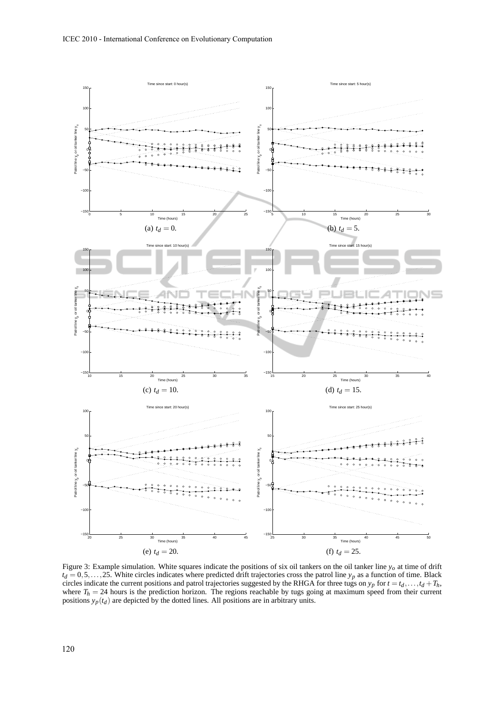

Figure 3: Example simulation. White squares indicate the positions of six oil tankers on the oil tanker line  $y_o$  at time of drift  $t_d = 0.5,...,25$ . White circles indicates where predicted drift trajectories cross the patrol line  $y_p$  as a function of time. Black circles indicate the current positions and patrol trajectories suggested by the RHGA for three tugs on  $y_p$  for  $t = t_d, \ldots, t_d + T_h$ , where  $T_h = 24$  hours is the prediction horizon. The regions reachable by tugs going at maximum speed from their current positions *yp*(*t<sup>d</sup>* ) are depicted by the dotted lines. All positions are in arbitrary units.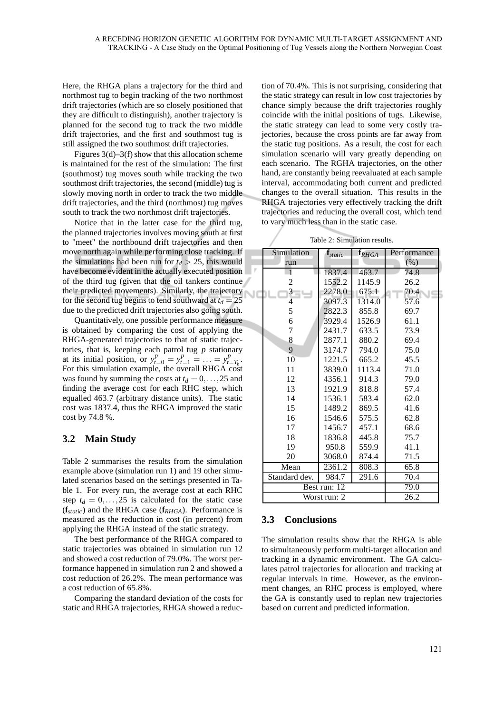Here, the RHGA plans a trajectory for the third and northmost tug to begin tracking of the two northmost drift trajectories (which are so closely positioned that they are difficult to distinguish), another trajectory is planned for the second tug to track the two middle drift trajectories, and the first and southmost tug is still assigned the two southmost drift trajectories.

Figures 3(d)–3(f) show that this allocation scheme is maintained for the rest of the simulation: The first (southmost) tug moves south while tracking the two southmost drift trajectories, the second (middle) tug is slowly moving north in order to track the two middle drift trajectories, and the third (northmost) tug moves south to track the two northmost drift trajectories.

Notice that in the latter case for the third tug, the planned trajectories involves moving south at first to "meet" the northbound drift trajectories and then move north again while performing close tracking. If the simulations had been run for  $t_d > 25$ , this would have become evident in the actually executed position of the third tug (given that the oil tankers continue their predicted movements). Similarly, the trajectory for the second tug begins to tend southward at  $t_d = 25$ due to the predicted drift trajectories also going south.

Quantitatively, one possible performance measure is obtained by comparing the cost of applying the RHGA-generated trajectories to that of static trajectories, that is, keeping each patrol tug *p* stationary at its initial position, or  $y_{t=0}^p = y_{t=1}^p = \dots = y_{t=T_h}^p$ . For this simulation example, the overall RHGA cost was found by summing the costs at  $t_d = 0, \ldots, 25$  and finding the average cost for each RHC step, which equalled 463.7 (arbitrary distance units). The static cost was 1837.4, thus the RHGA improved the static cost by 74.8 %.

## **3.2 Main Study**

Table 2 summarises the results from the simulation example above (simulation run 1) and 19 other simulated scenarios based on the settings presented in Table 1. For every run, the average cost at each RHC step  $t_d = 0, \ldots, 25$  is calculated for the static case (**f***static*) and the RHGA case (**f***RHGA*). Performance is measured as the reduction in cost (in percent) from applying the RHGA instead of the static strategy.

The best performance of the RHGA compared to static trajectories was obtained in simulation run 12 and showed a cost reduction of 79.0%. The worst performance happened in simulation run 2 and showed a cost reduction of 26.2%. The mean performance was a cost reduction of 65.8%.

Comparing the standard deviation of the costs for static and RHGA trajectories, RHGA showed a reduc-

tion of 70.4%. This is not surprising, considering that the static strategy can result in low cost trajectories by chance simply because the drift trajectories roughly coincide with the initial positions of tugs. Likewise, the static strategy can lead to some very costly trajectories, because the cross points are far away from the static tug positions. As a result, the cost for each simulation scenario will vary greatly depending on each scenario. The RGHA trajectories, on the other hand, are constantly being reevaluated at each sample interval, accommodating both current and predicted changes to the overall situation. This results in the RHGA trajectories very effectively tracking the drift trajectories and reducing the overall cost, which tend to vary much less than in the static case.

Table 2: Simulation results.

|   | Simulation    | $\mathbf{f}_{static}$ | $\mathbf{f}_{RHGA}$ | Performance |
|---|---------------|-----------------------|---------------------|-------------|
|   | run           |                       |                     | $(\% )$     |
| p | $\mathbf{1}$  | 1837.4                | 463.7               | 74.8        |
|   | 2             | 1552.2                | 1145.9              | 26.2        |
|   | $3 - 1$       | 2278.0                | 675.1               | 70.4        |
|   | 4             | 3097.3                | 1314.0              | 57.6        |
|   | 5             | 2822.3                | 855.8               | 69.7        |
|   | 6             | 3929.4                | 1526.9              | 61.1        |
|   | 7             | 2431.7                | 633.5               | 73.9        |
|   | 8             | 2877.1                | 880.2               | 69.4        |
|   | 9             | 3174.7                | 794.0               | 75.0        |
|   | 10            | 1221.5                | 665.2               | 45.5        |
|   | 11            | 3839.0                | 1113.4              | 71.0        |
|   | 12            | 4356.1                | 914.3               | 79.0        |
|   | 13            | 1921.9                | 818.8               | 57.4        |
|   | 14            | 1536.1                | 583.4               | 62.0        |
|   | 15            | 1489.2                | 869.5               | 41.6        |
|   | 16            | 1546.6                | 575.5               | 62.8        |
|   | 17            | 1456.7                | 457.1               | 68.6        |
|   | 18            | 1836.8                | 445.8               | 75.7        |
|   | 19            | 950.8                 | 559.9               | 41.1        |
|   | 20            | 3068.0                | 874.4               | 71.5        |
|   | Mean          | 2361.2                | 808.3               | 65.8        |
|   | Standard dev. | 984.7                 | 291.6               | 70.4        |
|   | Best run: 12  | 79.0                  |                     |             |
|   | Worst run: 2  | 26.2                  |                     |             |

#### **3.3 Conclusions**

The simulation results show that the RHGA is able to simultaneously perform multi-target allocation and tracking in a dynamic environment. The GA calculates patrol trajectories for allocation and tracking at regular intervals in time. However, as the environment changes, an RHC process is employed, where the GA is constantly used to replan new trajectories based on current and predicted information.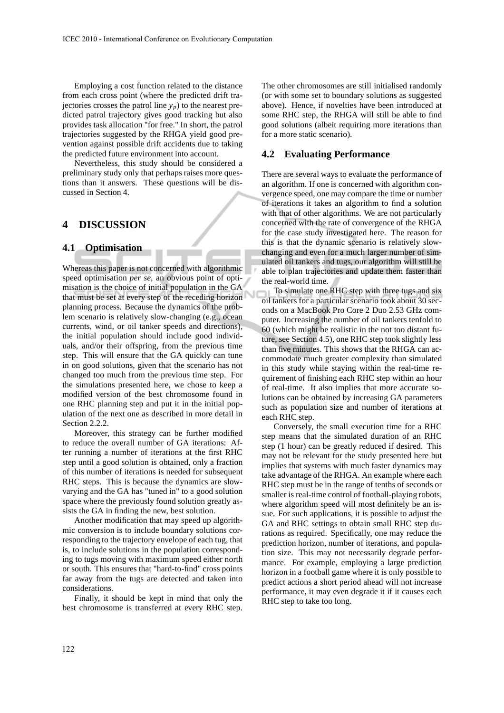Employing a cost function related to the distance from each cross point (where the predicted drift trajectories crosses the patrol line  $y_p$ ) to the nearest predicted patrol trajectory gives good tracking but also provides task allocation "for free." In short, the patrol trajectories suggested by the RHGA yield good prevention against possible drift accidents due to taking the predicted future environment into account.

Nevertheless, this study should be considered a preliminary study only that perhaps raises more questions than it answers. These questions will be discussed in Section 4.

## **4 DISCUSSION**

#### **4.1 Optimisation**

Whereas this paper is not concerned with algorithmic speed optimisation *per se*, an obvious point of optimisation is the choice of initial population in the GA that must be set at every step of the receding horizon planning process. Because the dynamics of the problem scenario is relatively slow-changing (e.g., ocean currents, wind, or oil tanker speeds and directions), the initial population should include good individuals, and/or their offspring, from the previous time step. This will ensure that the GA quickly can tune in on good solutions, given that the scenario has not changed too much from the previous time step. For the simulations presented here, we chose to keep a modified version of the best chromosome found in one RHC planning step and put it in the initial population of the next one as described in more detail in Section 2.2.2.

Moreover, this strategy can be further modified to reduce the overall number of GA iterations: After running a number of iterations at the first RHC step until a good solution is obtained, only a fraction of this number of iterations is needed for subsequent RHC steps. This is because the dynamics are slowvarying and the GA has "tuned in" to a good solution space where the previously found solution greatly assists the GA in finding the new, best solution.

Another modification that may speed up algorithmic conversion is to include boundary solutions corresponding to the trajectory envelope of each tug, that is, to include solutions in the population corresponding to tugs moving with maximum speed either north or south. This ensures that "hard-to-find" cross points far away from the tugs are detected and taken into considerations.

Finally, it should be kept in mind that only the best chromosome is transferred at every RHC step. The other chromosomes are still initialised randomly (or with some set to boundary solutions as suggested above). Hence, if novelties have been introduced at some RHC step, the RHGA will still be able to find good solutions (albeit requiring more iterations than for a more static scenario).

### **4.2 Evaluating Performance**

There are several ways to evaluate the performance of an algorithm. If one is concerned with algorithm convergence speed, one may compare the time or number of iterations it takes an algorithm to find a solution with that of other algorithms. We are not particularly concerned with the rate of convergence of the RHGA for the case study investigated here. The reason for this is that the dynamic scenario is relatively slowchanging and even for a much larger number of simulated oil tankers and tugs, our algorithm will still be able to plan trajectories and update them faster than the real-world time.

To simulate one RHC step with three tugs and six oil tankers for a particular scenario took about 30 seconds on a MacBook Pro Core 2 Duo 2.53 GHz computer. Increasing the number of oil tankers tenfold to 60 (which might be realistic in the not too distant future, see Section 4.5), one RHC step took slightly less than five minutes. This shows that the RHGA can accommodate much greater complexity than simulated in this study while staying within the real-time requirement of finishing each RHC step within an hour of real-time. It also implies that more accurate solutions can be obtained by increasing GA parameters such as population size and number of iterations at each RHC step.

Conversely, the small execution time for a RHC step means that the simulated duration of an RHC step (1 hour) can be greatly reduced if desired. This may not be relevant for the study presented here but implies that systems with much faster dynamics may take advantage of the RHGA. An example where each RHC step must be in the range of tenths of seconds or smaller is real-time control of football-playing robots, where algorithm speed will most definitely be an issue. For such applications, it is possible to adjust the GA and RHC settings to obtain small RHC step durations as required. Specifically, one may reduce the prediction horizon, number of iterations, and population size. This may not necessarily degrade performance. For example, employing a large prediction horizon in a football game where it is only possible to predict actions a short period ahead will not increase performance, it may even degrade it if it causes each RHC step to take too long.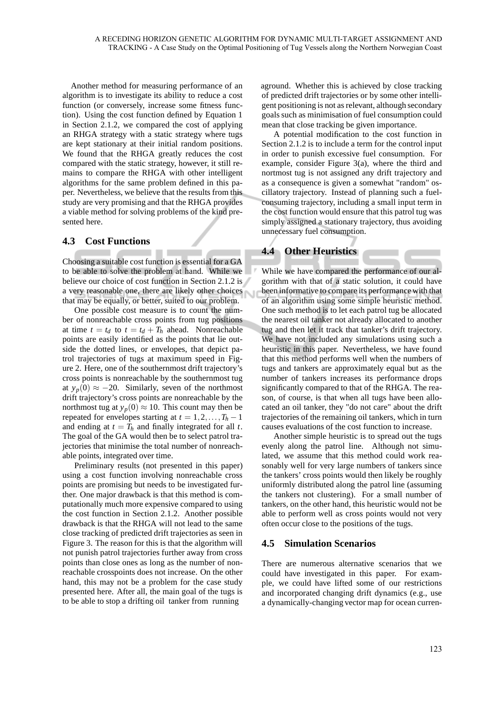Another method for measuring performance of an algorithm is to investigate its ability to reduce a cost function (or conversely, increase some fitness function). Using the cost function defined by Equation 1 in Section 2.1.2, we compared the cost of applying an RHGA strategy with a static strategy where tugs are kept stationary at their initial random positions. We found that the RHGA greatly reduces the cost compared with the static strategy, however, it still remains to compare the RHGA with other intelligent algorithms for the same problem defined in this paper. Nevertheless, we believe that the results from this study are very promising and that the RHGA provides a viable method for solving problems of the kind presented here.

#### **4.3 Cost Functions**

Choosing a suitable cost function is essential for a GA to be able to solve the problem at hand. While we believe our choice of cost function in Section 2.1.2 is a very reasonable one, there are likely other choices that may be equally, or better, suited to our problem.

One possible cost measure is to count the number of nonreachable cross points from tug positions at time  $t = t_d$  to  $t = t_d + T_h$  ahead. Nonreachable points are easily identified as the points that lie outside the dotted lines, or envelopes, that depict patrol trajectories of tugs at maximum speed in Figure 2. Here, one of the southernmost drift trajectory's cross points is nonreachable by the southernmost tug at  $y_p(0)$  ≈ −20. Similarly, seven of the northmost drift trajectory's cross points are nonreachable by the northmost tug at  $y_p(0) \approx 10$ . This count may then be repeated for envelopes starting at  $t = 1, 2, \ldots, T_h - 1$ and ending at  $t = T_h$  and finally integrated for all  $t$ . The goal of the GA would then be to select patrol trajectories that minimise the total number of nonreachable points, integrated over time.

Preliminary results (not presented in this paper) using a cost function involving nonreachable cross points are promising but needs to be investigated further. One major drawback is that this method is computationally much more expensive compared to using the cost function in Section 2.1.2. Another possible drawback is that the RHGA will not lead to the same close tracking of predicted drift trajectories as seen in Figure 3. The reason for this is that the algorithm will not punish patrol trajectories further away from cross points than close ones as long as the number of nonreachable crosspoints does not increase. On the other hand, this may not be a problem for the case study presented here. After all, the main goal of the tugs is to be able to stop a drifting oil tanker from running

aground. Whether this is achieved by close tracking of predicted drift trajectories or by some other intelligent positioning is not as relevant, although secondary goals such as minimisation of fuel consumption could mean that close tracking be given importance.

A potential modification to the cost function in Section 2.1.2 is to include a term for the control input in order to punish excessive fuel consumption. For example, consider Figure 3(a), where the third and nortmost tug is not assigned any drift trajectory and as a consequence is given a somewhat "random" oscillatory trajectory. Instead of planning such a fuelconsuming trajectory, including a small input term in the cost function would ensure that this patrol tug was simply assigned a stationary trajectory, thus avoiding unnecessary fuel consumption.

## **4.4 Other Heuristics**

While we have compared the performance of our algorithm with that of a static solution, it could have been informative to compare its performance with that of an algorithm using some simple heuristic method. One such method is to let each patrol tug be allocated the nearest oil tanker not already allocated to another tug and then let it track that tanker's drift trajectory. We have not included any simulations using such a heuristic in this paper. Nevertheless, we have found that this method performs well when the numbers of tugs and tankers are approximately equal but as the number of tankers increases its performance drops significantly compared to that of the RHGA. The reason, of course, is that when all tugs have been allocated an oil tanker, they "do not care" about the drift trajectories of the remaining oil tankers, which in turn causes evaluations of the cost function to increase.

Another simple heuristic is to spread out the tugs evenly along the patrol line. Although not simulated, we assume that this method could work reasonably well for very large numbers of tankers since the tankers' cross points would then likely be roughly uniformly distributed along the patrol line (assuming the tankers not clustering). For a small number of tankers, on the other hand, this heuristic would not be able to perform well as cross points would not very often occur close to the positions of the tugs.

#### **4.5 Simulation Scenarios**

There are numerous alternative scenarios that we could have investigated in this paper. For example, we could have lifted some of our restrictions and incorporated changing drift dynamics (e.g., use a dynamically-changing vector map for ocean curren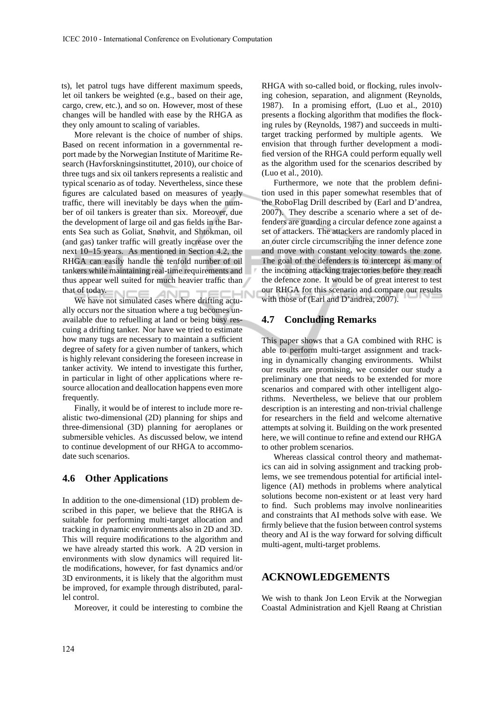ts), let patrol tugs have different maximum speeds, let oil tankers be weighted (e.g., based on their age, cargo, crew, etc.), and so on. However, most of these changes will be handled with ease by the RHGA as they only amount to scaling of variables.

More relevant is the choice of number of ships. Based on recent information in a governmental report made by the Norwegian Institute of Maritime Research (Havforskningsinstituttet, 2010), our choice of three tugs and six oil tankers represents a realistic and typical scenario as of today. Nevertheless, since these figures are calculated based on measures of yearly traffic, there will inevitably be days when the number of oil tankers is greater than six. Moreover, due the development of large oil and gas fields in the Barents Sea such as Goliat, Snøhvit, and Shtokman, oil (and gas) tanker traffic will greatly increase over the next 10–15 years. As mentioned in Section 4.2, the RHGA can easily handle the tenfold number of oil tankers while maintaining real-time requirements and thus appear well suited for much heavier traffic than that of today.

We have not simulated cases where drifting actually occurs nor the situation where a tug becomes unavailable due to refuelling at land or being busy rescuing a drifting tanker. Nor have we tried to estimate how many tugs are necessary to maintain a sufficient degree of safety for a given number of tankers, which is highly relevant considering the foreseen increase in tanker activity. We intend to investigate this further, in particular in light of other applications where resource allocation and deallocation happens even more frequently.

Finally, it would be of interest to include more realistic two-dimensional (2D) planning for ships and three-dimensional (3D) planning for aeroplanes or submersible vehicles. As discussed below, we intend to continue development of our RHGA to accommodate such scenarios.

#### **4.6 Other Applications**

In addition to the one-dimensional (1D) problem described in this paper, we believe that the RHGA is suitable for performing multi-target allocation and tracking in dynamic environments also in 2D and 3D. This will require modifications to the algorithm and we have already started this work. A 2D version in environments with slow dynamics will required little modifications, however, for fast dynamics and/or 3D environments, it is likely that the algorithm must be improved, for example through distributed, parallel control.

Moreover, it could be interesting to combine the

RHGA with so-called boid, or flocking, rules involving cohesion, separation, and alignment (Reynolds, 1987). In a promising effort, (Luo et al., 2010) presents a flocking algorithm that modifies the flocking rules by (Reynolds, 1987) and succeeds in multitarget tracking performed by multiple agents. We envision that through further development a modified version of the RHGA could perform equally well as the algorithm used for the scenarios described by (Luo et al., 2010).

Furthermore, we note that the problem definition used in this paper somewhat resembles that of the RoboFlag Drill described by (Earl and D'andrea, 2007). They describe a scenario where a set of defenders are guarding a circular defence zone against a set of attackers. The attackers are randomly placed in an outer circle circumscribing the inner defence zone and move with constant velocity towards the zone. The goal of the defenders is to intercept as many of the incoming attacking trajectories before they reach the defence zone. It would be of great interest to test our RHGA for this scenario and compare our results with those of (Earl and D'andrea, 2007).

## **4.7 Concluding Remarks**

This paper shows that a GA combined with RHC is able to perform multi-target assignment and tracking in dynamically changing environments. Whilst our results are promising, we consider our study a preliminary one that needs to be extended for more scenarios and compared with other intelligent algorithms. Nevertheless, we believe that our problem description is an interesting and non-trivial challenge for researchers in the field and welcome alternative attempts at solving it. Building on the work presented here, we will continue to refine and extend our RHGA to other problem scenarios.

Whereas classical control theory and mathematics can aid in solving assignment and tracking problems, we see tremendous potential for artificial intelligence (AI) methods in problems where analytical solutions become non-existent or at least very hard to find. Such problems may involve nonlinearities and constraints that AI methods solve with ease. We firmly believe that the fusion between control systems theory and AI is the way forward for solving difficult multi-agent, multi-target problems.

## **ACKNOWLEDGEMENTS**

We wish to thank Jon Leon Ervik at the Norwegian Coastal Administration and Kjell Røang at Christian